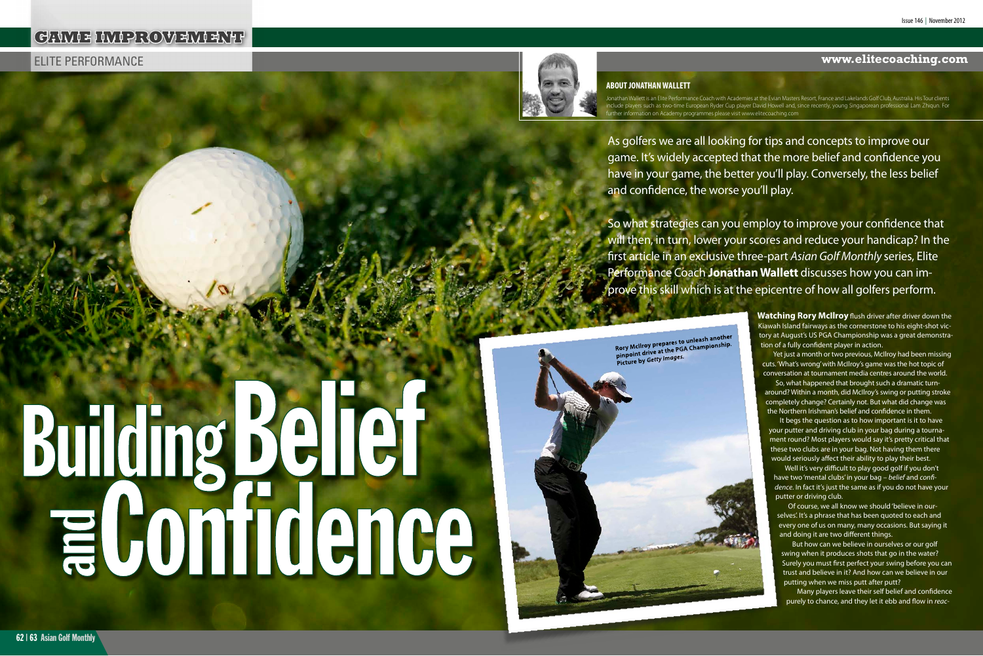# Elite Performance **www.elitecoaching.com**

As golfers we are all looking for tips and concepts to improve our game. It's widely accepted that the more belief and confidence you have in your game, the better you'll play. Conversely, the less belief and confidence, the worse you'll play.

So what strategies can you employ to improve your confidence that will then, in turn, lower your scores and reduce your handicap? In the first article in an exclusive three-part *Asian Golf Monthly* series, Elite Performance Coach **Jonathan Wallett** discusses how you can improve this skill which is at the epicentre of how all golfers perform.

Rory McIlroy prepares to unleash another<br>Rory McIlroy prepares to unleash another Rory McIlroy prepares to unleash anomer<br>pinpoint drive at the PGA Championship.<br>pinpoint by Getty Images. pinpoint drive at the red.<br>Picture by Getty Images.

# **Building Belief**



Yet just a month or two previous, McIlroy had been missing cuts. 'What's wrong' with McIlroy's game was the hot topic of conversation at tournament media centres around the world.

**Watching Rory McIlroy** flush driver after driver down the Kiawah Island fairways as the cornerstone to his eight-shot victory at August's US PGA Championship was a great demonstration of a fully confident player in action.

Jonathan Wallett is an Elite Performance Coach with Academies at the Evian Masters Resort, France and Lakelands Golf Club, Australia. His Tour clients include players such as two-time European Ryder Cup player David Howell and, since recently, young Singaporean professional Lam Zhiqun. For her information on Academy programmes please visit www.elitecoaching.con

> So, what happened that brought such a dramatic turnaround? Within a month, did McIlroy's swing or putting stroke completely change? Certainly not. But what did change was the Northern Irishman's belief and confidence in them.

It begs the question as to how important is it to have your putter and driving club in your bag during a tournament round? Most players would say it's pretty critical that these two clubs are in your bag. Not having them there would seriously affect their ability to play their best.

Well it's very difficult to play good golf if you don't have two 'mental clubs' in your bag – *belief* and *confidence*. In fact it's just the same as if you do not have your putter or driving club.

Of course, we all know we should 'believe in ourselves'. It's a phrase that has been quoted to each and every one of us on many, many occasions. But saying it and doing it are two different things.

But how can we believe in ourselves or our golf swing when it produces shots that go in the water? Surely you must first perfect your swing before you can trust and believe in it? And how can we believe in our putting when we miss putt after putt?

Many players leave their self belief and confidence purely to chance, and they let it ebb and flow in *reac-*

# **GAME IMPROVEMENT**



# **ABOUT JONATHAN WALLETT**